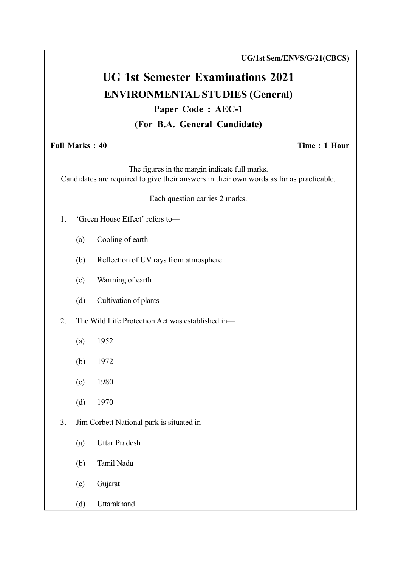UG/1st Sem/ENVS/G/21(CBCS)

# UG 1st Semester Examinations 2021 ENVIRONMENTAL STUDIES (General) Paper Code : AEC-1 (For B.A. General Candidate)

#### Full Marks : 40 Time : 1 Hour

The figures in the margin indicate full marks. Candidates are required to give their answers in their own words as far as practicable.

Each question carries 2 marks.

- 1. 'Green House Effect' refers to—
	- (a) Cooling of earth
	- (b) Reflection of UV rays from atmosphere
	- (c) Warming of earth
	- (d) Cultivation of plants

2. The Wild Life Protection Act was established in—

- (a) 1952
- (b) 1972
- (c) 1980
- (d) 1970
- 3. Jim Corbett National park is situated in—
	- (a) Uttar Pradesh
	- (b) Tamil Nadu
	- (c) Gujarat
	- (d) Uttarakhand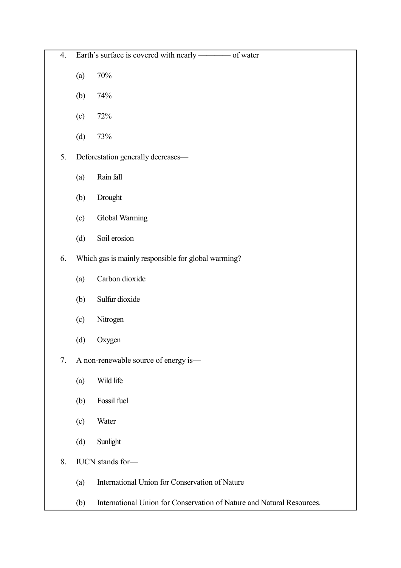| 4. |     | Earth's surface is covered with nearly -<br>- of water                |
|----|-----|-----------------------------------------------------------------------|
|    | (a) | $70\%$                                                                |
|    | (b) | 74%                                                                   |
|    | (c) | 72%                                                                   |
|    | (d) | 73%                                                                   |
| 5. |     | Deforestation generally decreases-                                    |
|    | (a) | Rain fall                                                             |
|    | (b) | Drought                                                               |
|    | (c) | Global Warming                                                        |
|    | (d) | Soil erosion                                                          |
| 6. |     | Which gas is mainly responsible for global warming?                   |
|    | (a) | Carbon dioxide                                                        |
|    | (b) | Sulfur dioxide                                                        |
|    | (c) | Nitrogen                                                              |
|    | (d) | Oxygen                                                                |
| 7. |     | A non-renewable source of energy is-                                  |
|    | (a) | Wild life                                                             |
|    | (b) | Fossil fuel                                                           |
|    | (c) | Water                                                                 |
|    | (d) | Sunlight                                                              |
| 8. |     | IUCN stands for-                                                      |
|    | (a) | International Union for Conservation of Nature                        |
|    | (b) | International Union for Conservation of Nature and Natural Resources. |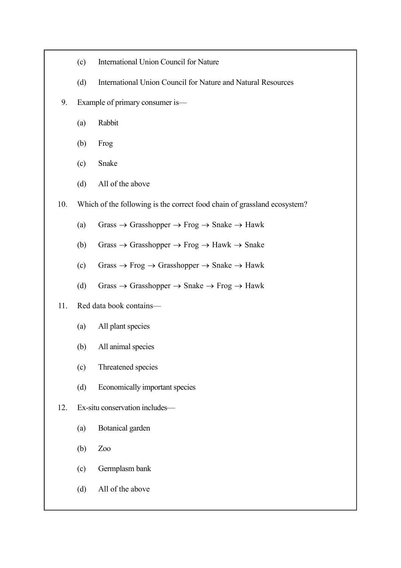- (c) International Union Council for Nature
- (d) International Union Council for Nature and Natural Resources
- 9. Example of primary consumer is—
	- (a) Rabbit
	- (b) Frog
	- (c) Snake
	- (d) All of the above
- 10. Which of the following is the correct food chain of grassland ecosystem?
	- (a) Grass  $\rightarrow$  Grasshopper  $\rightarrow$  Frog  $\rightarrow$  Snake  $\rightarrow$  Hawk
	- (b) Grass  $\rightarrow$  Grasshopper  $\rightarrow$  Frog  $\rightarrow$  Hawk  $\rightarrow$  Snake
	- (c) Grass  $\rightarrow$  Frog  $\rightarrow$  Grasshopper  $\rightarrow$  Snake  $\rightarrow$  Hawk
	- (d) Grass  $\rightarrow$  Grasshopper  $\rightarrow$  Snake  $\rightarrow$  Frog  $\rightarrow$  Hawk

#### 11. Red data book contains—

- (a) All plant species
- (b) All animal species
- (c) Threatened species
- (d) Economically important species

#### 12. Ex-situ conservation includes—

- (a) Botanical garden
- (b) Zoo
- (c) Germplasm bank
- (d) All of the above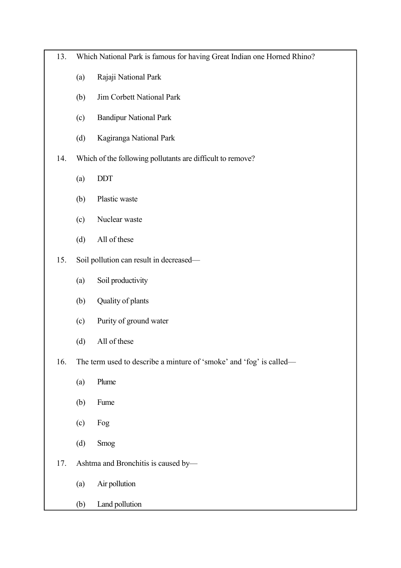- 13. Which National Park is famous for having Great Indian one Horned Rhino?
	- (a) Rajaji National Park
	- (b) Jim Corbett National Park
	- (c) Bandipur National Park
	- (d) Kagiranga National Park
- 14. Which of the following pollutants are difficult to remove?
	- (a) DDT
	- (b) Plastic waste
	- (c) Nuclear waste
	- (d) All of these
- 15. Soil pollution can result in decreased—
	- (a) Soil productivity
	- (b) Quality of plants
	- (c) Purity of ground water
	- (d) All of these
- 16. The term used to describe a minture of 'smoke' and 'fog' is called—
	- (a) Plume
	- (b) Fume
	- (c) Fog
	- (d) Smog
- 17. Ashtma and Bronchitis is caused by—
	- (a) Air pollution
	- (b) Land pollution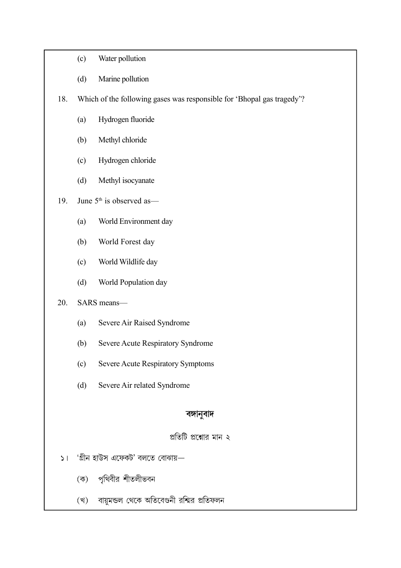- (c) Water pollution
- (d) Marine pollution

18. Which of the following gases was responsible for 'Bhopal gas tragedy'?

- (a) Hydrogen fluoride
- (b) Methyl chloride
- (c) Hydrogen chloride
- (d) Methyl isocyanate
- 19. June  $5<sup>th</sup>$  is observed as—
	- (a) World Environment day
	- (b) World Forest day
	- (c) World Wildlife day
	- (d) World Population day

#### 20. SARS means—

- (a) Severe Air Raised Syndrome
- (b) Severe Acute Respiratory Syndrome
- (c) Severe Acute Respiratory Symptoms
- (d) Severe Air related Syndrome

#### বঙ্গানুবাদ

### প্রতিটি প্রশ্নোর মান ২

- $\mathsf{S}$ । 'গ্রীন হাউস এফেকট' বলতে বোঝায়—
	- পৃথিবীর শীতলীভবন  $(\overline{\Phi})$
	- বায়ুমন্ডল থেকে অতিবেগুনী রশ্মির প্রতিফলন (খ)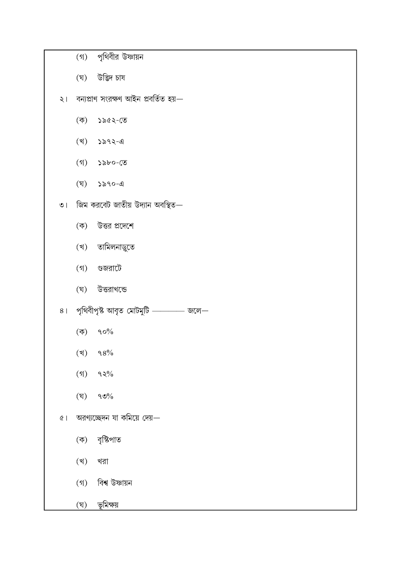|                |                     | (গ) পৃথিবীর উষ্ণায়ন                                 |
|----------------|---------------------|------------------------------------------------------|
|                |                     | (ঘ) উদ্ভিদ চাষ                                       |
|                |                     | ২। বন্যপ্রাণ সংরক্ষণ আইন প্রবর্তিত হয়—              |
|                |                     | $(\overline{\phi})$ ১৯৫২-তে                          |
|                |                     | $(3)$ ১৯৭২-এ                                         |
|                |                     | $(9)$ ১৯৮০-তে                                        |
|                |                     | $(\nabla)$ ১৯৭০-এ                                    |
| $\bullet$      |                     | জিম করবেট জাতীয় উদ্যান অবস্থিত—                     |
|                |                     | (ক) উত্তর প্রদেশে                                    |
|                |                     | (খ) তামিলনাড়ুতে                                     |
|                |                     | (গ) গুজরাটে                                          |
|                |                     | (ঘ) উত্তরাখন্ডে                                      |
| 8 <sup>1</sup> |                     | পৃথিবীপৃষ্ট আবৃত মোটমুটি $\_\_\_\_\_$ জলে $\_\_\_\_$ |
|                |                     | $(\overline{\phi})$ ৭০%                              |
|                |                     | $(3)$ 98%                                            |
|                | $($ গ $)$           | $92\%$                                               |
|                | (ঘৃ)                | $\mathcal{O} \mathcal{O} / \mathcal{O}$              |
| $\mathfrak{C}$ |                     | অরণ্যচ্ছেদন যা কমিয়ে দেয়—                          |
|                | $(\overline{\Phi})$ | বৃষ্টিপাত                                            |
|                | (খ)                 | খরা                                                  |
|                | $($ গ)              | বিশ্ব উষ্ণায়ন                                       |
|                | (ঘৃ)                | ভূমিক্ষয়                                            |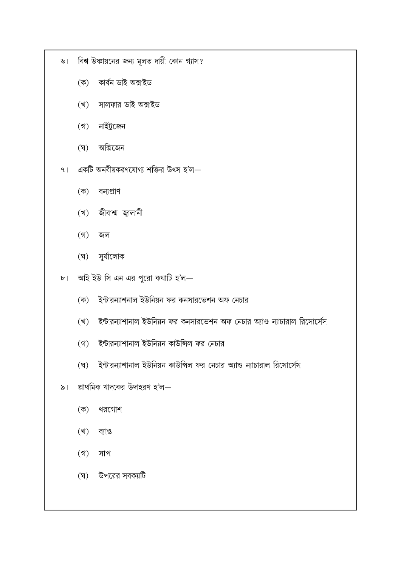- ৬। বিশ্ব উষ্ণায়নের জন্য মূলত দায়ী কোন গ্যাস?
	- (ক) কাৰ্বন ডাই অক্সাইড
	- (খ) সালফার ডাই অক্সাইড
	- (গ) নাইট্রজেন
	- (ঘ) অক্সিজেন
- ৭। একটি অনবীয়করণযোগ্য শক্তির উৎস হ'ল $-$ 
	- (ক) বন্যপ্ৰাণ
	- (খ) জীবাশ্ম জ্বালানী
	- $(9)$  জল
	- (ঘ) সূর্যালোক
- ৮। আই ইউ সি এন এর পুরো কথাটি হ'ল—
	- (ক) ইন্টারন্যাশনাল ইউনিয়ন ফর কনসারভেশন অফ নেচার
	- (খ) ইন্টারন্যাশানাল ইউনিয়ন ফর কনসারভেশন অফ নেচার অ্যাণ্ড ন্যাচারাল রিসোর্সেস
	- (গ) ইন্টারন্যাশানাল ইউনিয়ন কাউন্সিল ফর নেচার
	-
	-
- 
- (ঘ) ইন্টারন্যাশানাল ইউনিয়ন কাউন্সিল ফর নেচার অ্যাণ্ড ন্যাচারাল রিসোর্সেস
- ৯। প্রাথমিক খাদকের উদাহরণ হ'ল $-$ 
	- (ক) খরগোশ
	- (খ) ব্যাঙ
	- $(9)$  সাপ
	- (ঘ) উপরের সবকয়টি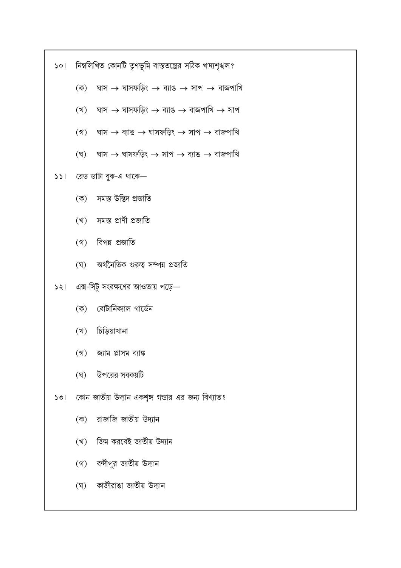১০। নিম্নলিখিত কোনটি তৃণভূমি বাস্ততন্ত্রের সঠিক খাদ্যশৃঙ্খল?

- $(\Phi)$  ঘাস  $\rightarrow$  ঘাসফড়িং  $\rightarrow$  ব্যাঙ  $\rightarrow$  সাপ  $\rightarrow$  বাজপাখি
- (খ) ঘাস  $\rightarrow$  ঘাসফড়িং  $\rightarrow$  ব্যাঙ  $\rightarrow$  বাজপাখি  $\rightarrow$  সাপ
- (গ) ঘাস  $\rightarrow$  ব্যাঙ  $\rightarrow$  ঘাসফডিং  $\rightarrow$  সাপ  $\rightarrow$  বাজপাখি
- (ঘ) ঘাস  $\rightarrow$  ঘাসফড়িং  $\rightarrow$  সাপ  $\rightarrow$  ব্যাঙ  $\rightarrow$  বাজপাখি

## $551$  রেড ডাটা বুক-এ থাকে—

- (ক) সমস্ত উদ্ভিদ প্ৰজাতি
- (খ) সমস্ত প্ৰাণী প্ৰজাতি
- (গ) বিপন্ন প্রজাতি
- (ঘ) অর্থনৈতিক গুরুত্ব সম্পন্ন প্রজাতি
- $521$  এক্স-সিটু সংরক্ষণের আওতায় পড়ে—
	- (ক) বোটানিক্যাল গার্ডেন
	- (খ) চিড়িয়াখানা
	- (গ) জ্যাম প্লাসম ব্যাঙ্ক
	- (ঘ) উপরের সবকয়টি
- ১৩। কোন জাতীয় উদ্যান একশৃঙ্গ গন্ডার এর জন্য বিখ্যাত?
	- (ক) রাজাজি জাতীয় উদ্যান
	- (খ) জিম করবেই জাতীয় উদ্যান
	- (গ) বন্দীপুর জাতীয় উদ্যান
	- (ঘ) কাজীরাঙা জাতীয় উদ্যান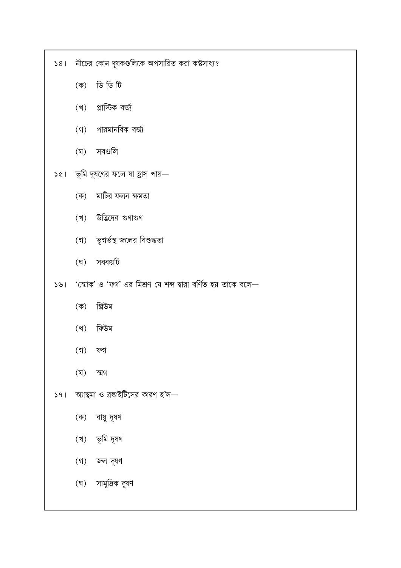- (ঘ) সামুদ্রিক দূষণ
- (গ) জল দূষণ
- (খ) ভূমি দূষণ
- (ক) বায়ু দূষণ
- $|S_1|$  আস্থমা ও ব্রঙ্কাইটিসের কারণ হ'ল $-$
- $(8)$  স্মগ
- $(3)$  ফগ
- (খ) ফিউম
- (ক) প্লিউম
- ১৬। 'স্মোক' ও 'ফগ' এর মিশ্রণ যে শব্দ দ্বারা বর্ণিত হয় তাকে বলে—
- (ঘ) সবকয়টি
- (গ) ভূগর্ভস্থ জলের বিশুদ্ধতা
- (খ) উদ্ভিদের গুণাগুণ
- (ক) মাটির ফলন ক্ষমতা
- $\delta$ ে। ভূমি দূষণের ফলে যা হ্রাস পায়—
- (ঘ) সবগুলি
- (খ) প্লাস্টিক বৰ্জ্য
- 

(গ) পারমানবিক বর্জ্য

- $\widehat{\vec{U}}$   $\widehat{\vec{U}}$   $\widehat{\vec{U}}$   $\widehat{\vec{U}}$
- ১৪। নীচের কোন দূষকগুলিকে অপসারিত করা কষ্টসাধ্য?